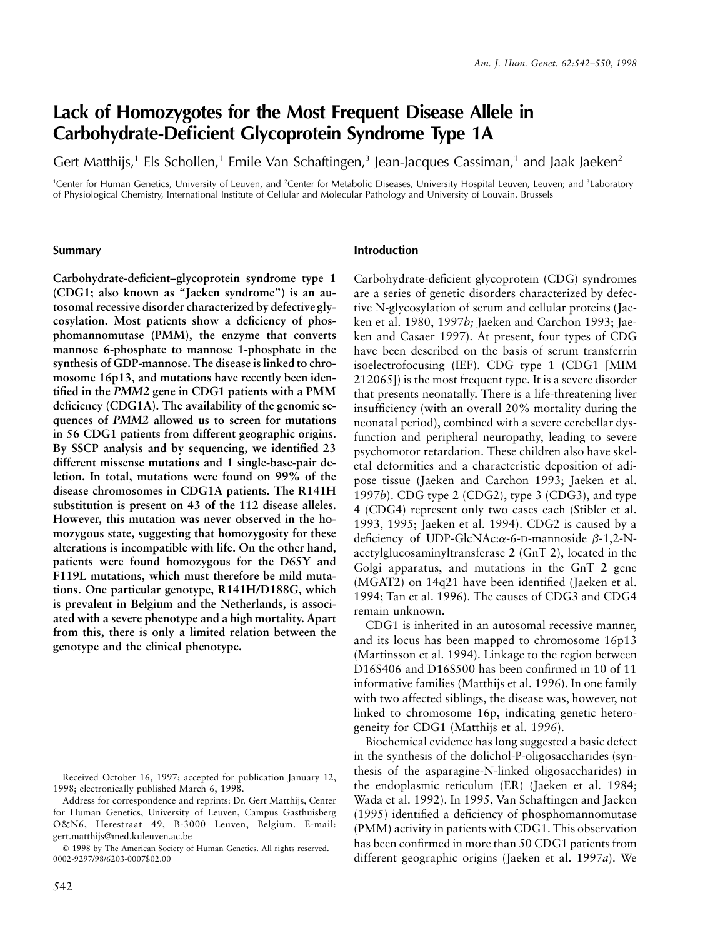# **Lack of Homozygotes for the Most Frequent Disease Allele in Carbohydrate-Deficient Glycoprotein Syndrome Type 1A**

Gert Matthijs,<sup>1</sup> Els Schollen,<sup>1</sup> Emile Van Schaftingen,<sup>3</sup> Jean-Jacques Cassiman,<sup>1</sup> and Jaak Jaeken<sup>2</sup>

<sup>1</sup>Center for Human Genetics, University of Leuven, and <sup>2</sup>Center for Metabolic Diseases, University Hospital Leuven, Leuven; and <sup>3</sup>Laboratory of Physiological Chemistry, International Institute of Cellular and Molecular Pathology and University of Louvain, Brussels

## **Summary**

**Carbohydrate-deficient–glycoprotein syndrome type 1 (CDG1; also known as "Jaeken syndrome") is an autosomal recessive disorder characterized by defective glycosylation. Most patients show a deficiency of phosphomannomutase (PMM), the enzyme that converts mannose 6-phosphate to mannose 1-phosphate in the synthesis of GDP-mannose. The disease is linked to chromosome 16p13, and mutations have recently been identified in the** *PMM2* **gene in CDG1 patients with a PMM deficiency (CDG1A). The availability of the genomic sequences of** *PMM2* **allowed us to screen for mutations in 56 CDG1 patients from different geographic origins. By SSCP analysis and by sequencing, we identified 23 different missense mutations and 1 single-base-pair deletion. In total, mutations were found on 99% of the disease chromosomes in CDG1A patients. The R141H substitution is present on 43 of the 112 disease alleles. However, this mutation was never observed in the homozygous state, suggesting that homozygosity for these alterations is incompatible with life. On the other hand, patients were found homozygous for the D65Y and F119L mutations, which must therefore be mild mutations. One particular genotype, R141H/D188G, which is prevalent in Belgium and the Netherlands, is associated with a severe phenotype and a high mortality. Apart from this, there is only a limited relation between the genotype and the clinical phenotype.**

# **Introduction**

Carbohydrate-deficient glycoprotein (CDG) syndromes are a series of genetic disorders characterized by defective N-glycosylation of serum and cellular proteins (Jaeken et al. 1980, 1997*b;* Jaeken and Carchon 1993; Jaeken and Casaer 1997). At present, four types of CDG have been described on the basis of serum transferrin isoelectrofocusing (IEF). CDG type 1 (CDG1 [MIM 212065]) is the most frequent type. It is a severe disorder that presents neonatally. There is a life-threatening liver insufficiency (with an overall 20% mortality during the neonatal period), combined with a severe cerebellar dysfunction and peripheral neuropathy, leading to severe psychomotor retardation. These children also have skeletal deformities and a characteristic deposition of adipose tissue (Jaeken and Carchon 1993; Jaeken et al. 1997*b*). CDG type 2 (CDG2), type 3 (CDG3), and type 4 (CDG4) represent only two cases each (Stibler et al. 1993, 1995; Jaeken et al. 1994). CDG2 is caused by a deficiency of UDP-GlcNAc: $\alpha$ -6-D-mannoside  $\beta$ -1,2-Nacetylglucosaminyltransferase 2 (GnT 2), located in the Golgi apparatus, and mutations in the GnT 2 gene (MGAT2) on 14q21 have been identified (Jaeken et al. 1994; Tan et al. 1996). The causes of CDG3 and CDG4 remain unknown.

CDG1 is inherited in an autosomal recessive manner, and its locus has been mapped to chromosome 16p13 (Martinsson et al. 1994). Linkage to the region between D16S406 and D16S500 has been confirmed in 10 of 11 informative families (Matthijs et al. 1996). In one family with two affected siblings, the disease was, however, not linked to chromosome 16p, indicating genetic heterogeneity for CDG1 (Matthijs et al. 1996).

Biochemical evidence has long suggested a basic defect in the synthesis of the dolichol-P-oligosaccharides (synthesis of the asparagine-N-linked oligosaccharides) in the endoplasmic reticulum (ER) (Jaeken et al. 1984; Wada et al. 1992). In 1995, Van Schaftingen and Jaeken (1995) identified a deficiency of phosphomannomutase (PMM) activity in patients with CDG1. This observation has been confirmed in more than 50 CDG1 patients from different geographic origins (Jaeken et al. 1997*a*). We

Received October 16, 1997; accepted for publication January 12, 1998; electronically published March 6, 1998.

Address for correspondence and reprints: Dr. Gert Matthijs, Center for Human Genetics, University of Leuven, Campus Gasthuisberg O&N6, Herestraat 49, B-3000 Leuven, Belgium. E-mail: gert.matthijs@med.kuleuven.ac.be

 $© 1998$  by The American Society of Human Genetics. All rights reserved. 0002-9297/98/6203-0007\$02.00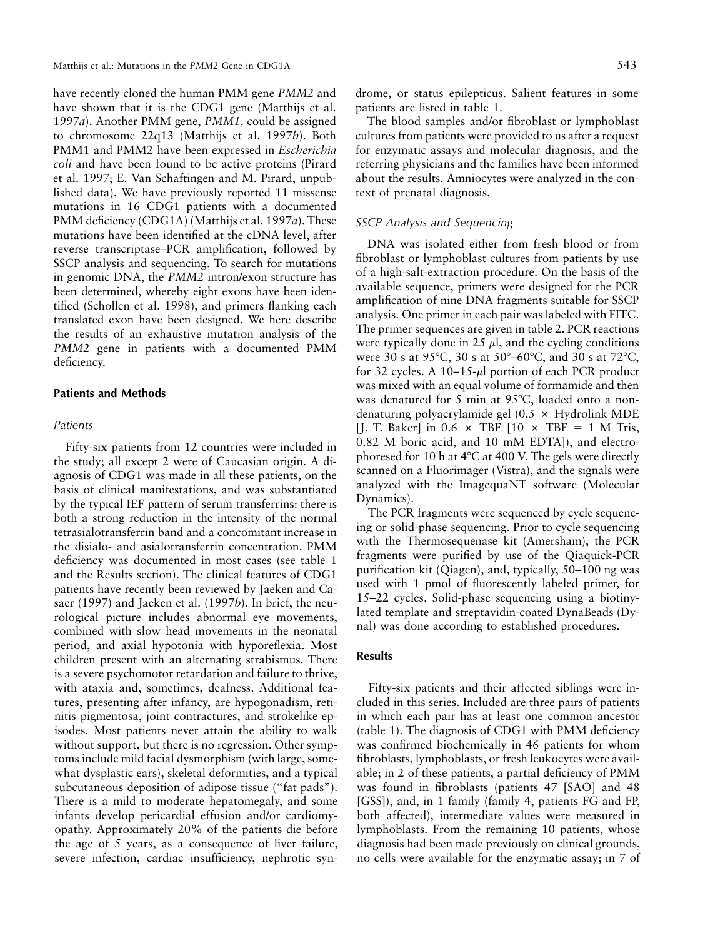have recently cloned the human PMM gene *PMM2* and have shown that it is the CDG1 gene (Matthijs et al. 1997*a*). Another PMM gene, *PMM1,* could be assigned to chromosome 22q13 (Matthijs et al. 1997*b*). Both PMM1 and PMM2 have been expressed in *Escherichia coli* and have been found to be active proteins (Pirard et al. 1997; E. Van Schaftingen and M. Pirard, unpublished data). We have previously reported 11 missense mutations in 16 CDG1 patients with a documented PMM deficiency (CDG1A) (Matthijs et al. 1997*a*). These mutations have been identified at the cDNA level, after reverse transcriptase–PCR amplification, followed by SSCP analysis and sequencing. To search for mutations in genomic DNA, the *PMM2* intron/exon structure has been determined, whereby eight exons have been identified (Schollen et al. 1998), and primers flanking each translated exon have been designed. We here describe the results of an exhaustive mutation analysis of the *PMM2* gene in patients with a documented PMM deficiency.

### **Patients and Methods**

## *Patients*

Fifty-six patients from 12 countries were included in the study; all except 2 were of Caucasian origin. A diagnosis of CDG1 was made in all these patients, on the basis of clinical manifestations, and was substantiated by the typical IEF pattern of serum transferrins: there is both a strong reduction in the intensity of the normal tetrasialotransferrin band and a concomitant increase in the disialo- and asialotransferrin concentration. PMM deficiency was documented in most cases (see table 1 and the Results section). The clinical features of CDG1 patients have recently been reviewed by Jaeken and Casaer (1997) and Jaeken et al. (1997*b*). In brief, the neurological picture includes abnormal eye movements, combined with slow head movements in the neonatal period, and axial hypotonia with hyporeflexia. Most children present with an alternating strabismus. There is a severe psychomotor retardation and failure to thrive, with ataxia and, sometimes, deafness. Additional features, presenting after infancy, are hypogonadism, retinitis pigmentosa, joint contractures, and strokelike episodes. Most patients never attain the ability to walk without support, but there is no regression. Other symptoms include mild facial dysmorphism (with large, somewhat dysplastic ears), skeletal deformities, and a typical subcutaneous deposition of adipose tissue ("fat pads"). There is a mild to moderate hepatomegaly, and some infants develop pericardial effusion and/or cardiomyopathy. Approximately 20% of the patients die before the age of 5 years, as a consequence of liver failure, severe infection, cardiac insufficiency, nephrotic syndrome, or status epilepticus. Salient features in some patients are listed in table 1.

The blood samples and/or fibroblast or lymphoblast cultures from patients were provided to us after a request for enzymatic assays and molecular diagnosis, and the referring physicians and the families have been informed about the results. Amniocytes were analyzed in the context of prenatal diagnosis.

# *SSCP Analysis and Sequencing*

DNA was isolated either from fresh blood or from fibroblast or lymphoblast cultures from patients by use of a high-salt-extraction procedure. On the basis of the available sequence, primers were designed for the PCR amplification of nine DNA fragments suitable for SSCP analysis. One primer in each pair was labeled with FITC. The primer sequences are given in table 2. PCR reactions were typically done in 25  $\mu$ , and the cycling conditions were 30 s at 95°C, 30 s at 50°-60°C, and 30 s at 72°C, for 32 cycles. A  $10-15-\mu l$  portion of each PCR product was mixed with an equal volume of formamide and then was denatured for 5 min at  $95^{\circ}$ C, loaded onto a nondenaturing polyacrylamide gel  $(0.5 \times$  Hydrolink MDE [J. T. Baker] in 0.6  $\times$  TBE [10  $\times$  TBE = 1 M Tris, 0.82 M boric acid, and 10 mM EDTA]), and electrophoresed for 10 h at  $4^{\circ}$ C at 400 V. The gels were directly scanned on a Fluorimager (Vistra), and the signals were analyzed with the ImagequaNT software (Molecular Dynamics).

The PCR fragments were sequenced by cycle sequencing or solid-phase sequencing. Prior to cycle sequencing with the Thermosequenase kit (Amersham), the PCR fragments were purified by use of the Qiaquick-PCR purification kit (Qiagen), and, typically, 50–100 ng was used with 1 pmol of fluorescently labeled primer, for 15–22 cycles. Solid-phase sequencing using a biotinylated template and streptavidin-coated DynaBeads (Dynal) was done according to established procedures.

# **Results**

Fifty-six patients and their affected siblings were included in this series. Included are three pairs of patients in which each pair has at least one common ancestor (table 1). The diagnosis of CDG1 with PMM deficiency was confirmed biochemically in 46 patients for whom fibroblasts, lymphoblasts, or fresh leukocytes were available; in 2 of these patients, a partial deficiency of PMM was found in fibroblasts (patients 47 [SAO] and 48 [GSS]), and, in 1 family (family 4, patients FG and FP, both affected), intermediate values were measured in lymphoblasts. From the remaining 10 patients, whose diagnosis had been made previously on clinical grounds, no cells were available for the enzymatic assay; in 7 of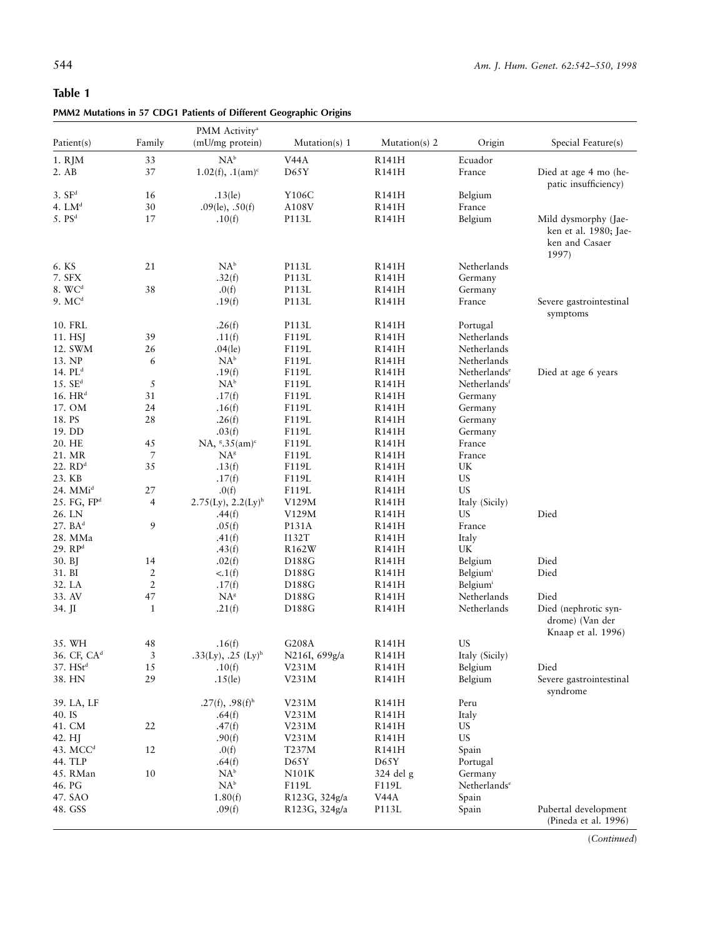# **Table 1**

| PMM2 Mutations in 57 CDG1 Patients of Different Geographic Origins |  |  |  |
|--------------------------------------------------------------------|--|--|--|
|                                                                    |  |  |  |

|                         |                                  | PMM Activity <sup>a</sup>            |                            |               |                          |                                                               |
|-------------------------|----------------------------------|--------------------------------------|----------------------------|---------------|--------------------------|---------------------------------------------------------------|
| Patient(s)              | Family                           | (mU/mg protein)                      | Mutation(s) 1              | Mutation(s) 2 | Origin                   | Special Feature(s)                                            |
| 1. RJM                  | 33                               | $NA^b$                               | V <sub>44</sub> A          | R141H         | Ecuador                  |                                                               |
| 2. AB                   | 37                               | $1.02(f), 1(am)^c$                   | D65Y                       | R141H         | France                   |                                                               |
|                         |                                  |                                      |                            |               |                          | Died at age 4 mo (he-                                         |
|                         |                                  |                                      |                            |               |                          | patic insufficiency)                                          |
| 3. SF <sup>d</sup>      | 16                               | $.13$ (le)                           | Y106C                      | R141H         | Belgium                  |                                                               |
| 4. $LMd$                | $30\,$                           | $.09$ (le), $.50$ (f)                | A108V                      | R141H         | France                   |                                                               |
| 5. PS <sup>d</sup>      | 17                               | .10(f)                               | P113L                      | R141H         | Belgium                  | Mild dysmorphy (Jae-<br>ken et al. 1980; Jae-                 |
|                         |                                  |                                      |                            |               |                          | ken and Casaer<br>1997)                                       |
| 6. KS                   | 21                               | $\mathrm{NA}^{\rm b}$                | P113L                      | R141H         | Netherlands              |                                                               |
| 7. SFX                  |                                  | .32(f)                               | P113L                      | R141H         | Germany                  |                                                               |
| 8. W C <sup>d</sup>     | 38                               | .0(f)                                | P113L                      | R141H         | Germany                  |                                                               |
| $9. \text{MC}^d$        |                                  | .19(f)                               | P113L                      | R141H         | France                   | Severe gastrointestinal                                       |
|                         |                                  |                                      |                            |               |                          | symptoms                                                      |
| 10. FRL                 |                                  | .26(f)                               | P113L                      | R141H         | Portugal                 |                                                               |
| 11. HSJ                 | 39                               | .11(f)                               | F119L                      | R141H         | Netherlands              |                                                               |
| 12. SWM                 | 26                               | $.04$ (le)                           | F119L                      | R141H         | Netherlands              |                                                               |
| 13. NP                  | 6                                | $NA^b$                               | F119L                      | R141H         | Netherlands              |                                                               |
| 14. $PLd$               |                                  | .19(f)                               | F119L                      | R141H         | Netherlands <sup>e</sup> | Died at age 6 years                                           |
| $15.$ SE <sup>d</sup>   | 5                                | $NA^b$                               | F119L                      | R141H         | Netherlands <sup>f</sup> |                                                               |
| 16. $HRd$               | 31                               | .17(f)                               | F119L                      | R141H         | Germany                  |                                                               |
| 17. OM                  | 24                               | .16(f)                               | F119L                      | R141H         | Germany                  |                                                               |
| 18. PS                  | 28                               | .26(f)                               | F119L                      | R141H         | Germany                  |                                                               |
| 19. DD                  |                                  | .03(f)                               | F119L                      | R141H         | Germany                  |                                                               |
| 20. HE                  | 45                               | $NA$ , $^{8}$ .35(am) <sup>c</sup>   | F119L                      | R141H         | France                   |                                                               |
| 21. MR                  | 7                                | NA <sup>g</sup>                      | F119L                      | R141H         | France                   |                                                               |
| $22.$ $RDd$             | 35                               | .13(f)                               | F119L                      | R141H         | UK                       |                                                               |
| 23. KB                  |                                  | .17(f)                               | F119L                      | R141H         | <b>US</b>                |                                                               |
| $24.$ MMi <sup>d</sup>  | 27                               | .0(f)                                | F119L                      | R141H         | US.                      |                                                               |
| 25. FG, FP <sup>d</sup> | $\overline{4}$                   | $2.75$ (Ly), $2.2$ (Ly) <sup>h</sup> | V129M                      | R141H         | Italy (Sicily)           |                                                               |
| 26. LN                  |                                  | .44(f)                               | V129M                      | R141H         | <b>US</b>                | Died                                                          |
| 27. B A <sup>d</sup>    | 9                                | .05(f)                               | P131A                      | R141H         | France                   |                                                               |
| 28. MMa                 |                                  | .41(f)                               | I132T                      | R141H         | Italy                    |                                                               |
| 29. RP <sup>d</sup>     |                                  | .43(f)                               | R <sub>162</sub> W         | R141H         | UK                       |                                                               |
| 30. BJ                  | 14                               | .02(f)                               | D188G                      | R141H         | Belgium                  | Died                                                          |
| 31. BI                  |                                  |                                      | D188G                      |               |                          | Died                                                          |
| 32. LA                  | $\overline{c}$<br>$\overline{2}$ | < 1(f)                               | D188G                      | R141H         | Belgium                  |                                                               |
| 33. AV                  |                                  | .17(f)                               |                            | R141H         | Belgium                  |                                                               |
|                         | 47                               | $NA^g$                               | D188G                      | R141H         | Netherlands              | Died                                                          |
| 34. JI                  | $\mathbf{1}$                     | .21(f)                               | D188G                      | R141H         | Netherlands              | Died (nephrotic syn-<br>drome) (Van der<br>Knaap et al. 1996) |
| 35. WH                  | 48                               | .16(f)                               | G208A                      | R141H         | <b>US</b>                |                                                               |
| 36. CF, CA <sup>d</sup> | 3                                | .33(Ly), .25 $(Ly)^h$                | N216I, 699g/a              | R141H         | Italy (Sicily)           |                                                               |
| 37. HSt <sup>d</sup>    | 15                               | .10(f)                               | V231M                      | R141H         | Belgium                  | Died                                                          |
| 38. HN                  | 29                               | $.15$ (le)                           | V231M                      | R141H         | Belgium                  | Severe gastrointestinal<br>syndrome                           |
| 39. LA, LF              |                                  | $.27(f), .98(f)$ <sup>h</sup>        | V231M                      | R141H         | Peru                     |                                                               |
| 40. IS                  |                                  | .64(f)                               | V231M                      | R141H         | Italy                    |                                                               |
| 41. CM                  | 22                               | .47(f)                               | V231M                      | R141H         | <b>US</b>                |                                                               |
| 42. HJ                  |                                  | .90(f)                               | V231M                      | R141H         | <b>US</b>                |                                                               |
| 43. MCC <sup>d</sup>    | 12                               | .0(f)                                | T237M                      | R141H         | Spain                    |                                                               |
| 44. TLP                 |                                  | .64(f)                               | D65Y                       | D65Y          | Portugal                 |                                                               |
| 45. RMan                | 10                               | NA <sup>b</sup>                      | N101K                      | 324 del g     | Germany                  |                                                               |
| 46. PG                  |                                  |                                      |                            |               |                          |                                                               |
|                         |                                  | $NA^b$                               | F119L                      | F119L         | Netherlands <sup>e</sup> |                                                               |
| 47. SAO                 |                                  | 1.80(f)                              | R123G, 324g/a              | V44A          | Spain                    |                                                               |
| 48. GSS                 |                                  | .09(f)                               | R <sub>123</sub> G, 324g/a | P113L         | Spain                    | Pubertal development<br>(Pineda et al. 1996)                  |

(*Continued*)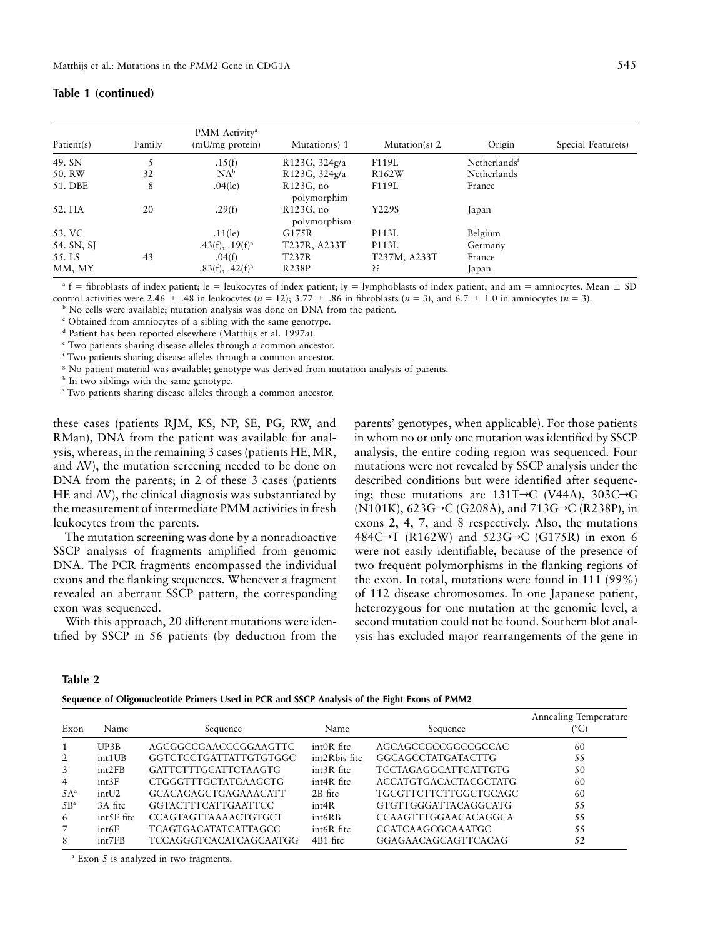| Patient(s) | Family | PMM Activity <sup>a</sup><br>(mU/mg protein) | Mutation(s) 1                | Mutation(s) 2      | Origin                   | Special Feature(s) |
|------------|--------|----------------------------------------------|------------------------------|--------------------|--------------------------|--------------------|
| 49. SN     | 5      | .15(f)                                       | R123G, 324g/a                | F119L              | Netherlands <sup>f</sup> |                    |
| 50. RW     | 32     | $NA^b$                                       | R123G, 324g/a                | R <sub>162</sub> W | Netherlands              |                    |
| 51. DBE    | 8      | $.04$ (le)                                   | $R123G$ , no<br>polymorphim  | F119L              | France                   |                    |
| 52. HA     | 20     | .29(f)                                       | $R123G$ , no<br>polymorphism | Y229S              | Japan                    |                    |
| 53. VC     |        | $.11$ (le)                                   | G175R                        | P113L              | Belgium                  |                    |
| 54. SN, SJ |        | $.43(f), .19(f)$ <sup>h</sup>                | T237R, A233T                 | P113L              | Germany                  |                    |
| 55. LS     | 43     | .04(f)                                       | T237R                        | T237M, A233T       | France                   |                    |
| MM, MY     |        | $.83(f), .42(f)$ <sup>h</sup>                | <b>R238P</b>                 | 55                 | Japan                    |                    |

# **Table 1 (continued)**

 $\overline{\phantom{a}}$  fibroblasts of index patient; le = leukocytes of index patient; ly = lymphoblasts of index patient; and am = amniocytes. Mean  $\pm$  SD control activities were 2.46  $\pm$  .48 in leukocytes ( $n = 12$ ); 3.77  $\pm$  .86 in fibroblasts ( $n = 3$ ), and 6.7  $\pm$  1.0 in amniocytes ( $n = 3$ ).

<sup>b</sup> No cells were available; mutation analysis was done on DNA from the patient.

<sup>c</sup> Obtained from amniocytes of a sibling with the same genotype.

<sup>d</sup> Patient has been reported elsewhere (Matthijs et al. 1997*a*).

<sup>e</sup> Two patients sharing disease alleles through a common ancestor.

<sup>f</sup> Two patients sharing disease alleles through a common ancestor.

<sup>8</sup> No patient material was available; genotype was derived from mutation analysis of parents.

<sup>h</sup> In two siblings with the same genotype.

<sup>i</sup> Two patients sharing disease alleles through a common ancestor.

these cases (patients RJM, KS, NP, SE, PG, RW, and RMan), DNA from the patient was available for analysis, whereas, in the remaining 3 cases(patients HE, MR, and AV), the mutation screening needed to be done on DNA from the parents; in 2 of these 3 cases (patients HE and AV), the clinical diagnosis was substantiated by the measurement of intermediate PMM activities in fresh leukocytes from the parents.

The mutation screening was done by a nonradioactive SSCP analysis of fragments amplified from genomic DNA. The PCR fragments encompassed the individual exons and the flanking sequences. Whenever a fragment revealed an aberrant SSCP pattern, the corresponding exon was sequenced.

With this approach, 20 different mutations were identified by SSCP in 56 patients (by deduction from the

parents' genotypes, when applicable). For those patients in whom no or only one mutation was identified by SSCP analysis, the entire coding region was sequenced. Four mutations were not revealed by SSCP analysis under the described conditions but were identified after sequencing; these mutations are  $131T\neg C$  (V44A),  $303C\neg G$ (N101K),  $623G \rightarrow C$  (G208A), and  $713G \rightarrow C$  (R238P), in exons 2, 4, 7, and 8 respectively. Also, the mutations 484C $\rightarrow$ T (R162W) and 523G $\rightarrow$ C (G175R) in exon 6 were not easily identifiable, because of the presence of two frequent polymorphisms in the flanking regions of the exon. In total, mutations were found in 111 (99%) of 112 disease chromosomes. In one Japanese patient, heterozygous for one mutation at the genomic level, a second mutation could not be found. Southern blot analysis has excluded major rearrangements of the gene in

# **Table 2**

**Sequence of Oligonucleotide Primers Used in PCR and SSCP Analysis of the Eight Exons of PMM2**

| Exon            | Name               | Sequence                      | Name          | Sequence                    | Annealing Temperature<br>(°C) |
|-----------------|--------------------|-------------------------------|---------------|-----------------------------|-------------------------------|
|                 | UP3B               | AGCGGCCGAACCCGGAAGTTC         | $intOR$ fitc  | AGCAGCCGCCGGCCGCCAC         | 60                            |
| 2               | int <sub>1UB</sub> | GGTCTCCTGATTATTGTGTGGC        | int2Rbis fitc | GGCAGCCTATGATACTTG          | 55                            |
| 3               | int2FB             | GATTCTTTGCATTCTAAGTG          | int3R fitc    | <b>TCCTAGAGGCATTCATTGTG</b> | 50                            |
| 4               | int3F              | CTGGGTTTGCTATGAAGCTG          | int4R fitc    | ACCATGTGACACTACGCTATG       | 60                            |
| $5A^a$          | int12              | <b>GCACAGAGCTGAGAAACATT</b>   | 2B fitc       | TGCGTTCTTCTTGGCTGCAGC       | 60                            |
| 5B <sup>a</sup> | 3A fitc            | <b>GGTACTTTCATTGAATTCC</b>    | int4R         | <b>GTGTTGGGATTACAGGCATG</b> | 55                            |
| 6               | int5F fitc         | CCAGTAGTTAAAACTGTGCT          | int6RB        | CCAAGTTTGGAACACAGGCA        | 55                            |
| $\overline{7}$  | int6F              | <b>TCAGTGACATATCATTAGCC</b>   | int6R fitc    | <b>CCATCAAGCGCAAATGC</b>    | 55                            |
| 8               | int7FB             | <b>TCCAGGGTCACATCAGCAATGG</b> | 4B1 fitc      | GGAGAACAGCAGTTCACAG         | 52                            |

<sup>a</sup> Exon 5 is analyzed in two fragments.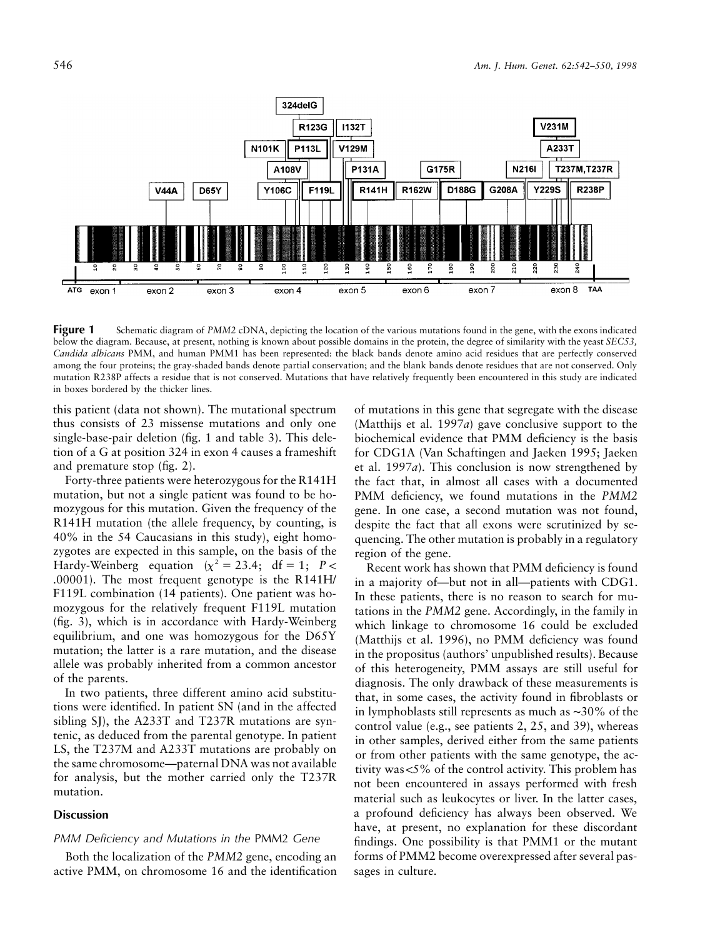

**Figure 1** Schematic diagram of *PMM2* cDNA, depicting the location of the various mutations found in the gene, with the exons indicated below the diagram. Because, at present, nothing is known about possible domains in the protein, the degree of similarity with the yeast *SEC53, Candida albicans* PMM, and human PMM1 has been represented: the black bands denote amino acid residues that are perfectly conserved among the four proteins; the gray-shaded bands denote partial conservation; and the blank bands denote residues that are not conserved. Only mutation R238P affects a residue that is not conserved. Mutations that have relatively frequently been encountered in this study are indicated in boxes bordered by the thicker lines.

this patient (data not shown). The mutational spectrum thus consists of 23 missense mutations and only one single-base-pair deletion (fig. 1 and table 3). This deletion of a G at position 324 in exon 4 causes a frameshift and premature stop (fig. 2).

Forty-three patients were heterozygous for the R141H mutation, but not a single patient was found to be homozygous for this mutation. Given the frequency of the R141H mutation (the allele frequency, by counting, is 40% in the 54 Caucasians in this study), eight homozygotes are expected in this sample, on the basis of the Hardy-Weinberg equation  $(x^2 = 23.4; df = 1; P <$ .00001). The most frequent genotype is the R141H/ F119L combination (14 patients). One patient was homozygous for the relatively frequent F119L mutation (fig. 3), which is in accordance with Hardy-Weinberg equilibrium, and one was homozygous for the D65Y mutation; the latter is a rare mutation, and the disease allele was probably inherited from a common ancestor of the parents.

In two patients, three different amino acid substitutions were identified. In patient SN (and in the affected sibling SJ), the A233T and T237R mutations are syntenic, as deduced from the parental genotype. In patient LS, the T237M and A233T mutations are probably on the same chromosome—paternal DNA was not available for analysis, but the mother carried only the T237R mutation.

## **Discussion**

# *PMM Deficiency and Mutations in the* PMM2 *Gene*

Both the localization of the *PMM2* gene, encoding an active PMM, on chromosome 16 and the identification of mutations in this gene that segregate with the disease (Matthijs et al. 1997*a*) gave conclusive support to the biochemical evidence that PMM deficiency is the basis for CDG1A (Van Schaftingen and Jaeken 1995; Jaeken et al. 1997*a*). This conclusion is now strengthened by the fact that, in almost all cases with a documented PMM deficiency, we found mutations in the *PMM2* gene. In one case, a second mutation was not found, despite the fact that all exons were scrutinized by sequencing. The other mutation is probably in a regulatory region of the gene.

Recent work has shown that PMM deficiency is found in a majority of—but not in all—patients with CDG1. In these patients, there is no reason to search for mutations in the *PMM2* gene. Accordingly, in the family in which linkage to chromosome 16 could be excluded (Matthijs et al. 1996), no PMM deficiency was found in the propositus (authors' unpublished results). Because of this heterogeneity, PMM assays are still useful for diagnosis. The only drawback of these measurements is that, in some cases, the activity found in fibroblasts or in lymphoblasts still represents as much as ∼30% of the control value (e.g., see patients 2, 25, and 39), whereas in other samples, derived either from the same patients or from other patients with the same genotype, the activity was  $<$  5% of the control activity. This problem has not been encountered in assays performed with fresh material such as leukocytes or liver. In the latter cases, a profound deficiency has always been observed. We have, at present, no explanation for these discordant findings. One possibility is that PMM1 or the mutant forms of PMM2 become overexpressed after several passages in culture.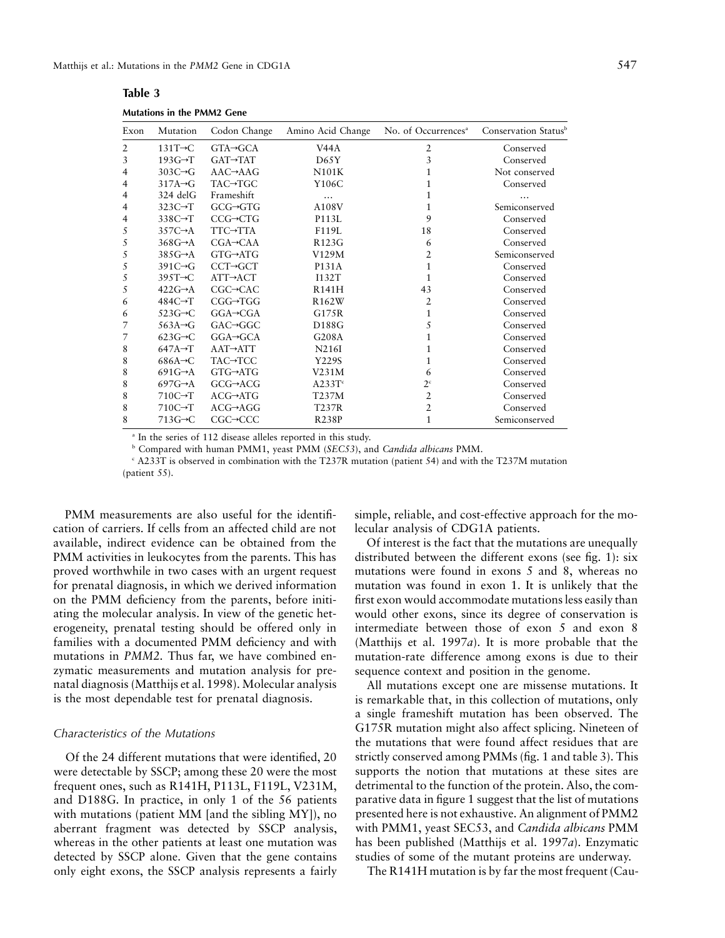| Exon | Mutation             | Codon Change          | Amino Acid Change  | No. of Occurrences <sup>a</sup> | Conservation Status <sup>b</sup> |
|------|----------------------|-----------------------|--------------------|---------------------------------|----------------------------------|
| 2    | $131T \rightarrow C$ | $GTA \rightarrow GCA$ | V44A               | 2                               | Conserved                        |
| 3    | $193G \rightarrow T$ | $GAT \rightarrow TAT$ | D65Y               | 3                               | Conserved                        |
| 4    | $303C \rightarrow G$ | $AAC \rightarrow AAG$ | N101K              | 1                               | Not conserved                    |
| 4    | $317A \rightarrow G$ | TAC→TGC               | Y106C              | 1                               | Conserved                        |
| 4    | 324 delG             | Frameshift            | $\cdots$           | 1                               |                                  |
| 4    | $323C \rightarrow T$ | $GCG \rightarrow GTG$ | A108V              | 1                               | Semiconserved                    |
| 4    | $338C \rightarrow T$ | $CCG \rightarrow CTG$ | P113L              | 9                               | Conserved                        |
| 5    | $357C \rightarrow A$ | <b>TTC→TTA</b>        | F119L              | 18                              | Conserved                        |
| 5    | $368G \rightarrow A$ | $CGA \rightarrow CAA$ | R123G              | 6                               | Conserved                        |
| 5    | $385G \rightarrow A$ | GTG→ATG               | V129M              | 2                               | Semiconserved                    |
| 5    | $391C \rightarrow G$ | $CCT \rightarrow GCT$ | P131A              | 1                               | Conserved                        |
| 5    | $395T \rightarrow C$ | $ATT \rightarrow ACT$ | I132T              | 1                               | Conserved                        |
| 5    | $422G \rightarrow A$ | $CGC \rightarrow CAC$ | <b>R141H</b>       | 43                              | Conserved                        |
| 6    | $484C \rightarrow T$ | $CGG \rightarrow TGG$ | R <sub>162</sub> W | 2                               | Conserved                        |
| 6    | $523G \rightarrow C$ | $GGA \rightarrow CGA$ | G175R              | 1                               | Conserved                        |
| 7    | $563A \rightarrow G$ | $GAC \rightarrow GGC$ | D188G              | 5                               | Conserved                        |
| 7    | $623G \rightarrow C$ | $GGA \rightarrow GCA$ | G208A              | 1                               | Conserved                        |
| 8    | $647A \rightarrow T$ | $AAT \rightarrow ATT$ | N216I              | 1                               | Conserved                        |
| 8    | $686A \rightarrow C$ | TAC→TCC               | Y229S              | 1                               | Conserved                        |
| 8    | $691G \rightarrow A$ | $GTG \rightarrow ATG$ | V231M              | 6                               | Conserved                        |
| 8    | $697G \rightarrow A$ | $GCG \rightarrow ACG$ | A233T <sup>c</sup> | $2^{\circ}$                     | Conserved                        |
| 8    | $710C \rightarrow T$ | $ACG \rightarrow ATG$ | T237M              | $\overline{2}$                  | Conserved                        |
| 8    | $710C \rightarrow T$ | $ACG \rightarrow AGG$ | T237R              | $\overline{2}$                  | Conserved                        |
| 8    | $713G \rightarrow C$ | $CGC \rightarrow CCC$ | <b>R238P</b>       | $\mathbf{1}$                    | Semiconserved                    |
|      |                      |                       |                    |                                 |                                  |

**Table 3 Mutations in the PMM2 Gene**

<sup>a</sup> In the series of 112 disease alleles reported in this study.

<sup>b</sup> Compared with human PMM1, yeast PMM (*SEC53*), and *Candida albicans* PMM.

<sup>c</sup> A233T is observed in combination with the T237R mutation (patient 54) and with the T237M mutation (patient 55).

PMM measurements are also useful for the identification of carriers. If cells from an affected child are not available, indirect evidence can be obtained from the PMM activities in leukocytes from the parents. This has proved worthwhile in two cases with an urgent request for prenatal diagnosis, in which we derived information on the PMM deficiency from the parents, before initiating the molecular analysis. In view of the genetic heterogeneity, prenatal testing should be offered only in families with a documented PMM deficiency and with mutations in *PMM2.* Thus far, we have combined enzymatic measurements and mutation analysis for prenatal diagnosis (Matthijs et al. 1998). Molecular analysis is the most dependable test for prenatal diagnosis.

#### *Characteristics of the Mutations*

Of the 24 different mutations that were identified, 20 were detectable by SSCP; among these 20 were the most frequent ones, such as R141H, P113L, F119L, V231M, and D188G. In practice, in only 1 of the 56 patients with mutations (patient MM [and the sibling MY]), no aberrant fragment was detected by SSCP analysis, whereas in the other patients at least one mutation was detected by SSCP alone. Given that the gene contains only eight exons, the SSCP analysis represents a fairly

simple, reliable, and cost-effective approach for the molecular analysis of CDG1A patients.

Of interest is the fact that the mutations are unequally distributed between the different exons (see fig. 1): six mutations were found in exons 5 and 8, whereas no mutation was found in exon 1. It is unlikely that the first exon would accommodate mutationsless easily than would other exons, since its degree of conservation is intermediate between those of exon 5 and exon 8 (Matthijs et al. 1997*a*). It is more probable that the mutation-rate difference among exons is due to their sequence context and position in the genome.

All mutations except one are missense mutations. It is remarkable that, in this collection of mutations, only a single frameshift mutation has been observed. The G175R mutation might also affect splicing. Nineteen of the mutations that were found affect residues that are strictly conserved among PMMs (fig. 1 and table 3). This supports the notion that mutations at these sites are detrimental to the function of the protein. Also, the comparative data in figure 1 suggest that the list of mutations presented here is not exhaustive. An alignment of PMM2 with PMM1, yeast SEC53, and *Candida albicans* PMM has been published (Matthijs et al. 1997*a*). Enzymatic studies of some of the mutant proteins are underway.

The R141H mutation is by far the most frequent (Cau-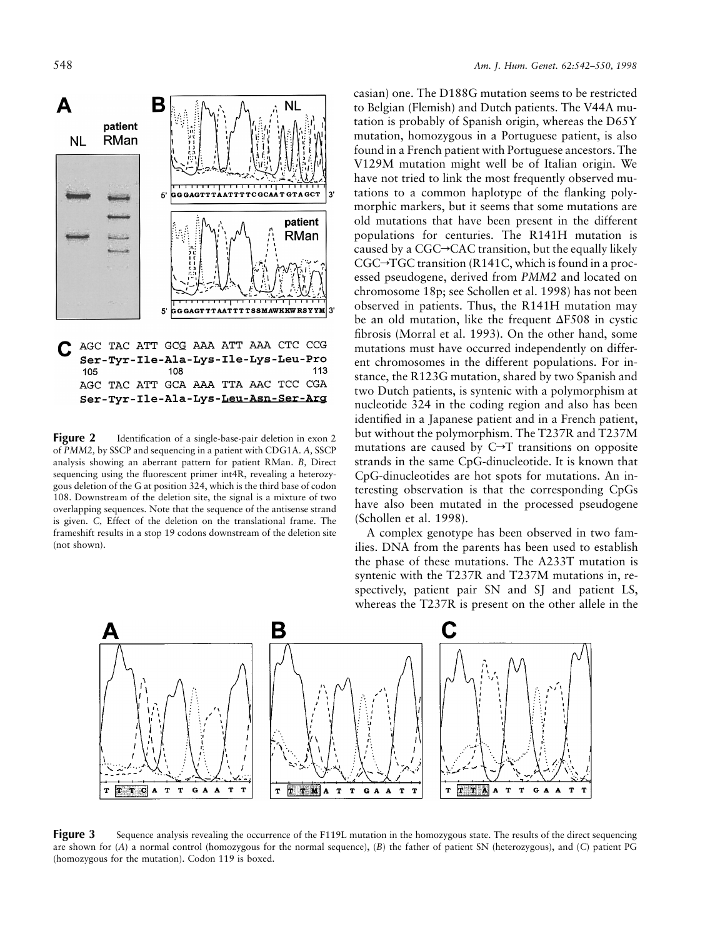

AGC TAC ATT GCA AAA TTA AAC TCC CGA Ser-Tyr-Ile-Ala-Lys-Leu-Asn-Ser-Arg

**Figure** 2 Identification of a single-base-pair deletion in exon 2 of *PMM2,* by SSCP and sequencing in a patient with CDG1A. *A,* SSCP analysis showing an aberrant pattern for patient RMan. *B,* Direct sequencing using the fluorescent primer int4R, revealing a heterozygous deletion of the G at position 324, which is the third base of codon 108. Downstream of the deletion site, the signal is a mixture of two overlapping sequences. Note that the sequence of the antisense strand is given. *C,* Effect of the deletion on the translational frame. The frameshift results in a stop 19 codons downstream of the deletion site (not shown).

casian) one. The D188G mutation seems to be restricted to Belgian (Flemish) and Dutch patients. The V44A mutation is probably of Spanish origin, whereas the D65Y mutation, homozygous in a Portuguese patient, is also found in a French patient with Portuguese ancestors.The V129M mutation might well be of Italian origin. We have not tried to link the most frequently observed mutations to a common haplotype of the flanking polymorphic markers, but it seems that some mutations are old mutations that have been present in the different populations for centuries. The R141H mutation is caused by a  $CGC \rightarrow CAC$  transition, but the equally likely  $CGC \rightarrow TGC$  transition (R141C, which is found in a processed pseudogene, derived from *PMM2* and located on chromosome 18p; see Schollen et al. 1998) has not been observed in patients. Thus, the R141H mutation may be an old mutation, like the frequent  $\Delta$ F508 in cystic fibrosis (Morral et al. 1993). On the other hand, some mutations must have occurred independently on different chromosomes in the different populations. For instance, the R123G mutation, shared by two Spanish and two Dutch patients, is syntenic with a polymorphism at nucleotide 324 in the coding region and also has been identified in a Japanese patient and in a French patient, but without the polymorphism. The T237R and T237M mutations are caused by  $C \rightarrow T$  transitions on opposite strands in the same CpG-dinucleotide. It is known that CpG-dinucleotides are hot spots for mutations. An interesting observation is that the corresponding CpGs have also been mutated in the processed pseudogene (Schollen et al. 1998).

A complex genotype has been observed in two families. DNA from the parents has been used to establish the phase of these mutations. The A233T mutation is syntenic with the T237R and T237M mutations in, respectively, patient pair SN and SJ and patient LS, whereas the T237R is present on the other allele in the



**Figure 3** Sequence analysis revealing the occurrence of the F119L mutation in the homozygous state. The results of the direct sequencing are shown for (*A*) a normal control (homozygous for the normal sequence), (*B*) the father of patient SN (heterozygous), and (*C*) patient PG (homozygous for the mutation). Codon 119 is boxed.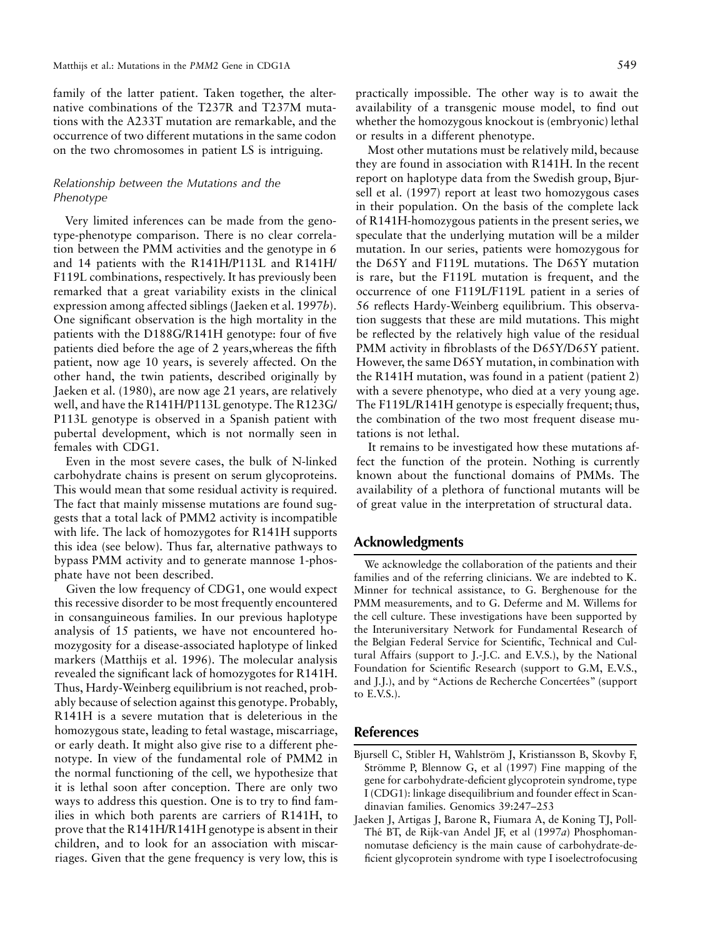family of the latter patient. Taken together, the alternative combinations of the T237R and T237M mutations with the A233T mutation are remarkable, and the occurrence of two different mutations in the same codon on the two chromosomes in patient LS is intriguing.

# *Relationship between the Mutations and the Phenotype*

Very limited inferences can be made from the genotype-phenotype comparison. There is no clear correlation between the PMM activities and the genotype in 6 and 14 patients with the R141H/P113L and R141H/ F119L combinations, respectively. It has previously been remarked that a great variability exists in the clinical expression among affected siblings (Jaeken et al. 1997*b*). One significant observation is the high mortality in the patients with the D188G/R141H genotype: four of five patients died before the age of 2 years,whereas the fifth patient, now age 10 years, is severely affected. On the other hand, the twin patients, described originally by Jaeken et al. (1980), are now age 21 years, are relatively well, and have the R141H/P113L genotype. The R123G/ P113L genotype is observed in a Spanish patient with pubertal development, which is not normally seen in females with CDG1.

Even in the most severe cases, the bulk of N-linked carbohydrate chains is present on serum glycoproteins. This would mean that some residual activity is required. The fact that mainly missense mutations are found suggests that a total lack of PMM2 activity is incompatible with life. The lack of homozygotes for R141H supports this idea (see below). Thus far, alternative pathways to bypass PMM activity and to generate mannose 1-phosphate have not been described.

Given the low frequency of CDG1, one would expect this recessive disorder to be most frequently encountered in consanguineous families. In our previous haplotype analysis of 15 patients, we have not encountered homozygosity for a disease-associated haplotype of linked markers (Matthijs et al. 1996). The molecular analysis revealed the significant lack of homozygotes for R141H. Thus, Hardy-Weinberg equilibrium is not reached, probably because of selection against this genotype. Probably, R141H is a severe mutation that is deleterious in the homozygous state, leading to fetal wastage, miscarriage, or early death. It might also give rise to a different phenotype. In view of the fundamental role of PMM2 in the normal functioning of the cell, we hypothesize that it is lethal soon after conception. There are only two ways to address this question. One is to try to find families in which both parents are carriers of R141H, to prove that the R141H/R141H genotype is absent in their children, and to look for an association with miscarriages. Given that the gene frequency is very low, this is practically impossible. The other way is to await the availability of a transgenic mouse model, to find out whether the homozygous knockout is (embryonic) lethal or results in a different phenotype.

Most other mutations must be relatively mild, because they are found in association with R141H. In the recent report on haplotype data from the Swedish group, Bjursell et al. (1997) report at least two homozygous cases in their population. On the basis of the complete lack of R141H-homozygous patients in the present series, we speculate that the underlying mutation will be a milder mutation. In our series, patients were homozygous for the D65Y and F119L mutations. The D65Y mutation is rare, but the F119L mutation is frequent, and the occurrence of one F119L/F119L patient in a series of 56 reflects Hardy-Weinberg equilibrium. This observation suggests that these are mild mutations. This might be reflected by the relatively high value of the residual PMM activity in fibroblasts of the D65Y/D65Y patient. However, the same D65Y mutation, in combination with the R141H mutation, was found in a patient (patient 2) with a severe phenotype, who died at a very young age. The F119L/R141H genotype is especially frequent; thus, the combination of the two most frequent disease mutations is not lethal.

It remains to be investigated how these mutations affect the function of the protein. Nothing is currently known about the functional domains of PMMs. The availability of a plethora of functional mutants will be of great value in the interpretation of structural data.

# **Acknowledgments**

We acknowledge the collaboration of the patients and their families and of the referring clinicians. We are indebted to K. Minner for technical assistance, to G. Berghenouse for the PMM measurements, and to G. Deferme and M. Willems for the cell culture. These investigations have been supported by the Interuniversitary Network for Fundamental Research of the Belgian Federal Service for Scientific, Technical and Cultural Affairs (support to J.-J.C. and E.V.S.), by the National Foundation for Scientific Research (support to G.M, E.V.S., and J.J.), and by "Actions de Recherche Concertées" (support to E.V.S.).

# **References**

- Bjursell C, Stibler H, Wahlström J, Kristiansson B, Skovby F, Strömme P, Blennow G, et al (1997) Fine mapping of the gene for carbohydrate-deficient glycoprotein syndrome, type I (CDG1): linkage disequilibrium and founder effect in Scandinavian families. Genomics 39:247–253
- Jaeken J, Artigas J, Barone R, Fiumara A, de Koning TJ, Poll-Thé BT, de Rijk-van Andel JF, et al (1997*a*) Phosphomannomutase deficiency is the main cause of carbohydrate-deficient glycoprotein syndrome with type I isoelectrofocusing